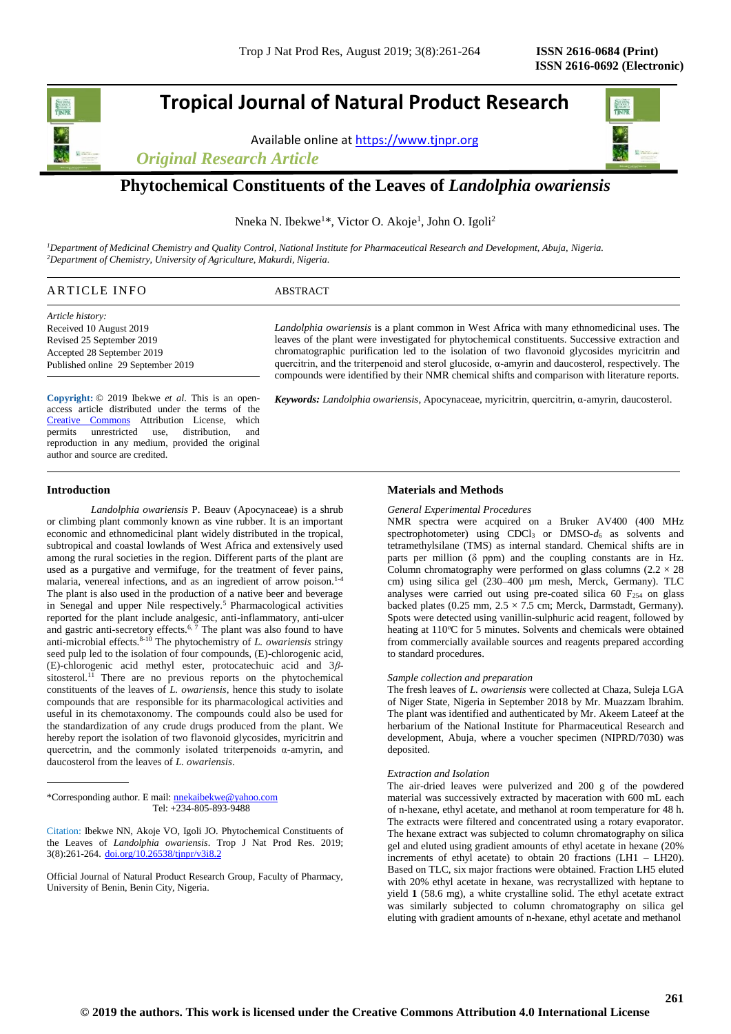# **Tropical Journal of Natural Product Research**

Available online a[t https://www.tjnpr.org](https://www.tjnpr.org/)

*Original Research Article*



## **Phytochemical Constituents of the Leaves of** *Landolphia owariensis*

Nneka N. Ibekwe<sup>1\*</sup>, Victor O. Akoje<sup>1</sup>, John O. Igoli<sup>2</sup>

*<sup>1</sup>Department of Medicinal Chemistry and Quality Control, National Institute for Pharmaceutical Research and Development, Abuja, Nigeria. <sup>2</sup>Department of Chemistry, University of Agriculture, Makurdi, Nigeria.*

## ARTICLE INFO ABSTRACT

*Article history:* Received 10 August 2019 Revised 25 September 2019 Accepted 28 September 2019 Published online 29 September 2019

access article distributed under the terms of the [Creative Commons](https://creativecommons.org/licenses/by/4.0/) Attribution License, which permits unrestricted use, distribution, and reproduction in any medium, provided the original author and source are credited.

*Landolphia owariensis* is a plant common in West Africa with many ethnomedicinal uses. The leaves of the plant were investigated for phytochemical constituents. Successive extraction and chromatographic purification led to the isolation of two flavonoid glycosides myricitrin and quercitrin, and the triterpenoid and sterol glucoside, α-amyrin and daucosterol, respectively. The compounds were identified by their NMR chemical shifts and comparison with literature reports.

**Copyright:** © 2019 Ibekwe *et al Keywords: Landolphia owariensis*, Apocynaceae, myricitrin, quercitrin, α-amyrin, daucosterol. . This is an open-

## **Introduction**

*Landolphia owariensis* P. Beauv (Apocynaceae) is a shrub or climbing plant commonly known as vine rubber. It is an important economic and ethnomedicinal plant widely distributed in the tropical, subtropical and coastal lowlands of West Africa and extensively used among the rural societies in the region. Different parts of the plant are used as a purgative and vermifuge, for the treatment of fever pains, malaria, venereal infections, and as an ingredient of arrow poison.<sup>1-4</sup> The plant is also used in the production of a native beer and beverage in Senegal and upper Nile respectively.<sup>5</sup> Pharmacological activities reported for the plant include analgesic, anti-inflammatory, anti-ulcer and gastric anti-secretory effects.<sup>6, 7</sup> The plant was also found to have anti-microbial effects.8-10 The phytochemistry of *L. owariensis* stringy seed pulp led to the isolation of four compounds, (E)-chlorogenic acid, (E)-chlorogenic acid methyl ester, protocatechuic acid and 3*β*sitosterol.<sup>11</sup> There are no previous reports on the phytochemical constituents of the leaves of *L. owariensis,* hence this study to isolate compounds that are responsible for its pharmacological activities and useful in its chemotaxonomy. The compounds could also be used for the standardization of any crude drugs produced from the plant. We hereby report the isolation of two flavonoid glycosides, myricitrin and quercetrin, and the commonly isolated triterpenoids  $\alpha$ -amyrin, and daucosterol from the leaves of *L. owariensis*.

\*Corresponding author. E mail[: nnekaibekwe@yahoo.com](mailto:nnekaibekwe@yahoo.com) Tel: +234-805-893-9488

Official Journal of Natural Product Research Group, Faculty of Pharmacy, University of Benin, Benin City, Nigeria.

## **Materials and Methods**

#### *General Experimental Procedures*

NMR spectra were acquired on a Bruker AV400 (400 MHz spectrophotometer) using CDCl<sup>3</sup> or DMSO-*d*<sup>6</sup> as solvents and tetramethylsilane (TMS) as internal standard. Chemical shifts are in parts per million  $(\delta$  ppm) and the coupling constants are in Hz. Column chromatography were performed on glass columns  $(2.2 \times 28)$ cm) using silica gel (230–400 µm mesh, Merck, Germany). TLC analyses were carried out using pre-coated silica 60  $F<sub>254</sub>$  on glass backed plates (0.25 mm,  $2.5 \times 7.5$  cm; Merck, Darmstadt, Germany). Spots were detected using vanillin-sulphuric acid reagent, followed by heating at 110°C for 5 minutes. Solvents and chemicals were obtained from commercially available sources and reagents prepared according to standard procedures.

### *Sample collection and preparation*

The fresh leaves of *L. owariensis* were collected at Chaza, Suleja LGA of Niger State, Nigeria in September 2018 by Mr. Muazzam Ibrahim. The plant was identified and authenticated by Mr. Akeem Lateef at the herbarium of the National Institute for Pharmaceutical Research and development, Abuja, where a voucher specimen (NIPRD/7030) was deposited.

#### *Extraction and Isolation*

The air-dried leaves were pulverized and 200 g of the powdered material was successively extracted by maceration with 600 mL each of n-hexane, ethyl acetate, and methanol at room temperature for 48 h. The extracts were filtered and concentrated using a rotary evaporator. The hexane extract was subjected to column chromatography on silica gel and eluted using gradient amounts of ethyl acetate in hexane (20% increments of ethyl acetate) to obtain 20 fractions (LH1 – LH20). Based on TLC, six major fractions were obtained. Fraction LH5 eluted with 20% ethyl acetate in hexane, was recrystallized with heptane to yield **1** (58.6 mg), a white crystalline solid. The ethyl acetate extract was similarly subjected to column chromatography on silica gel eluting with gradient amounts of n-hexane, ethyl acetate and methanol

Citation: Ibekwe NN, Akoje VO, Igoli JO. Phytochemical Constituents of the Leaves of *Landolphia owariensis*. Trop J Nat Prod Res. 2019; 3(8):261-264. [doi.org/10.26538/tjnpr/v3i8.2](http://www.doi.org/10.26538/tjnpr/v1i4.5)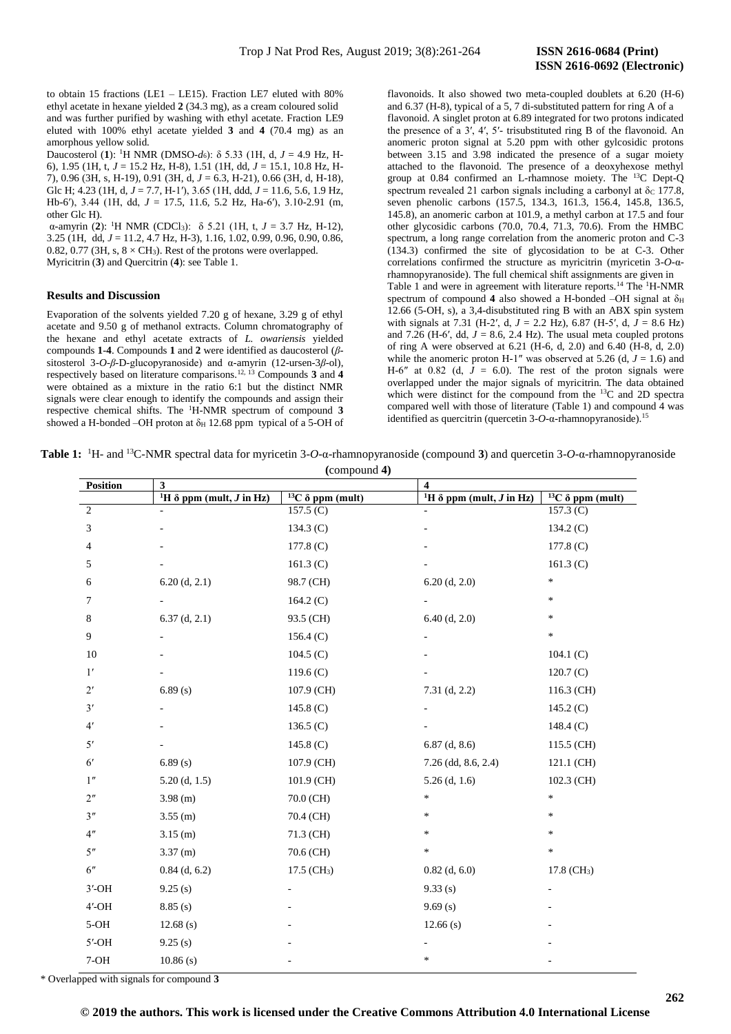to obtain 15 fractions (LE1 – LE15). Fraction LE7 eluted with 80% ethyl acetate in hexane yielded **2** (34.3 mg), as a cream coloured solid and was further purified by washing with ethyl acetate. Fraction LE9 eluted with 100% ethyl acetate yielded **3** and **4** (70.4 mg) as an amorphous yellow solid.

Daucosterol (**1**): <sup>1</sup>H NMR (DMSO-*d*6): δ 5.33 (1H, d, *J* = 4.9 Hz, H-6), 1.95 (1H, t, *J* = 15.2 Hz, H-8), 1.51 (1H, dd, *J* = 15.1, 10.8 Hz, H-7), 0.96 (3H, s, H-19), 0.91 (3H, d, *J* = 6.3, H-21), 0.66 (3H, d, H-18), Glc H; 4.23 (1H, d,  $J = 7.7$ , H-1'), 3.65 (1H, ddd,  $J = 11.6$ , 5.6, 1.9 Hz, Hb-6′), 3.44 (1H, dd, *J* = 17.5, 11.6, 5.2 Hz, Ha-6′), 3.10-2.91 (m, other Glc H).

α-amyrin (**2**): <sup>1</sup>H NMR (CDCl3): δ 5.21 (1H, t, *J* = 3.7 Hz, H-12), 3.25 (1H, dd, *J* = 11.2, 4.7 Hz, H-3), 1.16, 1.02, 0.99, 0.96, 0.90, 0.86, 0.82, 0.77 (3H, s,  $8 \times CH_3$ ). Rest of the protons were overlapped. Myricitrin (**3**) and Quercitrin (**4**): see Table 1.

#### **Results and Discussion**

Evaporation of the solvents yielded 7.20 g of hexane, 3.29 g of ethyl acetate and 9.50 g of methanol extracts. Column chromatography of the hexane and ethyl acetate extracts of *L. owariensis* yielded compounds **1**-**4**. Compounds **1** and **2** were identified as daucosterol (*β*sitosterol 3-*O*-*β*-D-glucopyranoside) and α-amyrin (12-ursen-3*β*-ol), respectively based on literature comparisons.12, 13 Compounds **3** and **4** were obtained as a mixture in the ratio 6:1 but the distinct NMR signals were clear enough to identify the compounds and assign their respective chemical shifts. The <sup>1</sup>H-NMR spectrum of compound **3** showed a H-bonded –OH proton at  $\delta_H$  12.68 ppm typical of a 5-OH of flavonoids. It also showed two meta-coupled doublets at 6.20 (H-6) and 6.37 (H-8), typical of a 5, 7 di-substituted pattern for ring A of a flavonoid. A singlet proton at 6.89 integrated for two protons indicated the presence of a 3′, 4′, 5′- trisubstituted ring B of the flavonoid. An anomeric proton signal at 5.20 ppm with other gylcosidic protons between 3.15 and 3.98 indicated the presence of a sugar moiety attached to the flavonoid. The presence of a deoxyhexose methyl group at 0.84 confirmed an L-rhamnose moiety. The <sup>13</sup>C Dept-Q spectrum revealed 21 carbon signals including a carbonyl at  $\delta_c$  177.8, seven phenolic carbons (157.5, 134.3, 161.3, 156.4, 145.8, 136.5, 145.8), an anomeric carbon at 101.9, a methyl carbon at 17.5 and four other glycosidic carbons (70.0, 70.4, 71.3, 70.6). From the HMBC spectrum, a long range correlation from the anomeric proton and C-3 (134.3) confirmed the site of glycosidation to be at C-3. Other correlations confirmed the structure as myricitrin (myricetin 3-*O*-αrhamnopyranoside). The full chemical shift assignments are given in Table 1 and were in agreement with literature reports.<sup>14</sup> The <sup>1</sup>H-NMR spectrum of compound 4 also showed a H-bonded –OH signal at  $\delta_H$ 12.66 (5-OH, s), a 3,4-disubstituted ring B with an ABX spin system with signals at 7.31 (H-2′, d, *J* = 2.2 Hz), 6.87 (H-5′, d, *J* = 8.6 Hz) and 7.26 (H-6′, dd,  $J = 8.6$ , 2.4 Hz). The usual meta coupled protons of ring A were observed at 6.21 (H-6, d, 2.0) and 6.40 (H-8, d, 2.0) while the anomeric proton H-1" was observed at 5.26 (d,  $J = 1.6$ ) and H-6" at 0.82 (d,  $J = 6.0$ ). The rest of the proton signals were overlapped under the major signals of myricitrin. The data obtained which were distinct for the compound from the <sup>13</sup>C and 2D spectra compared well with those of literature (Table 1) and compound 4 was identified as quercitrin (quercetin 3-*O*-α-rhamnopyranoside).<sup>15</sup>

**Table 1:** <sup>1</sup>H- and <sup>13</sup>C-NMR spectral data for myricetin 3-*O*-α-rhamnopyranoside (compound **3**) and quercetin 3-*O*-α-rhamnopyranoside **(**compound **4)**

| Position           | 3                                                  |                          | $\overline{\mathbf{4}}$                            |                                      |
|--------------------|----------------------------------------------------|--------------------------|----------------------------------------------------|--------------------------------------|
|                    | <sup>1</sup> H $\delta$ ppm (mult, <i>J</i> in Hz) | $13C \delta$ ppm (mult)  | <sup>1</sup> H $\delta$ ppm (mult, <i>J</i> in Hz) | $13\overline{C}$ $\delta$ ppm (mult) |
| $\overline{2}$     |                                                    | 157.5 $(C)$              |                                                    | 157.3 (C)                            |
| 3                  |                                                    | 134.3 $(C)$              |                                                    | 134.2 $(C)$                          |
| 4                  |                                                    | $177.8$ (C)              |                                                    | $177.8$ (C)                          |
| 5                  |                                                    | 161.3 $(C)$              |                                                    | 161.3 $(C)$                          |
| 6                  | $6.20$ (d, 2.1)                                    | 98.7 (CH)                | $6.20$ (d, 2.0)                                    | $\ast$                               |
| 7                  |                                                    | 164.2 $(C)$              |                                                    | $\ast$                               |
| 8                  | $6.37$ (d, 2.1)                                    | 93.5 (CH)                | $6.40$ (d, 2.0)                                    | $\ast$                               |
| 9                  |                                                    | 156.4(C)                 |                                                    | $\ast$                               |
| 10                 |                                                    | $104.5$ (C)              |                                                    | 104.1 $(C)$                          |
| 1'                 |                                                    | 119.6 $(C)$              |                                                    | 120.7(C)                             |
| 2'                 | 6.89(s)                                            | 107.9 (CH)               | $7.31$ (d, 2.2)                                    | 116.3 (CH)                           |
| 3'                 |                                                    | 145.8 $(C)$              |                                                    | 145.2 $(C)$                          |
| 4'                 |                                                    | 136.5 $(C)$              |                                                    | 148.4 $(C)$                          |
| 5'                 |                                                    | 145.8 $(C)$              | $6.87$ (d, 8.6)                                    | 115.5 (CH)                           |
| 6 <sup>'</sup>     | 6.89(s)                                            | 107.9 (CH)               | $7.26$ (dd, 8.6, 2.4)                              | 121.1 (CH)                           |
| $1"$               | $5.20$ (d, 1.5)                                    | 101.9 (CH)               | $5.26$ (d, 1.6)                                    | 102.3 (CH)                           |
| 2 <sup>n</sup>     | $3.98$ (m)                                         | 70.0 (CH)                | *                                                  | $\ast$                               |
| 3"                 | $3.55$ (m)                                         | 70.4 (CH)                | *                                                  | $\ast$                               |
| 4 <sup>n</sup>     | $3.15$ (m)                                         | 71.3 (CH)                | $\ast$                                             | $\ast$                               |
| $5^{\prime\prime}$ | $3.37$ (m)                                         | 70.6 (CH)                | $\ast$                                             | $\ast$                               |
| 6"                 | $0.84$ (d, 6.2)                                    | 17.5 (CH <sub>3</sub> )  | $0.82$ (d, 6.0)                                    | 17.8 (CH <sub>3</sub> )              |
| $3'$ -OH           | 9.25(s)                                            | $\overline{\phantom{a}}$ | 9.33(s)                                            |                                      |
| $4'$ -OH           | 8.85(s)                                            |                          | 9.69(s)                                            |                                      |
| $5-OH$             | $12.68$ (s)                                        |                          | 12.66(s)                                           |                                      |
| $5'$ -OH           | 9.25(s)                                            |                          |                                                    |                                      |
| $7-OH$             | 10.86(s)                                           |                          | $\ast$                                             |                                      |
|                    |                                                    |                          |                                                    |                                      |

\* Overlapped with signals for compound **3**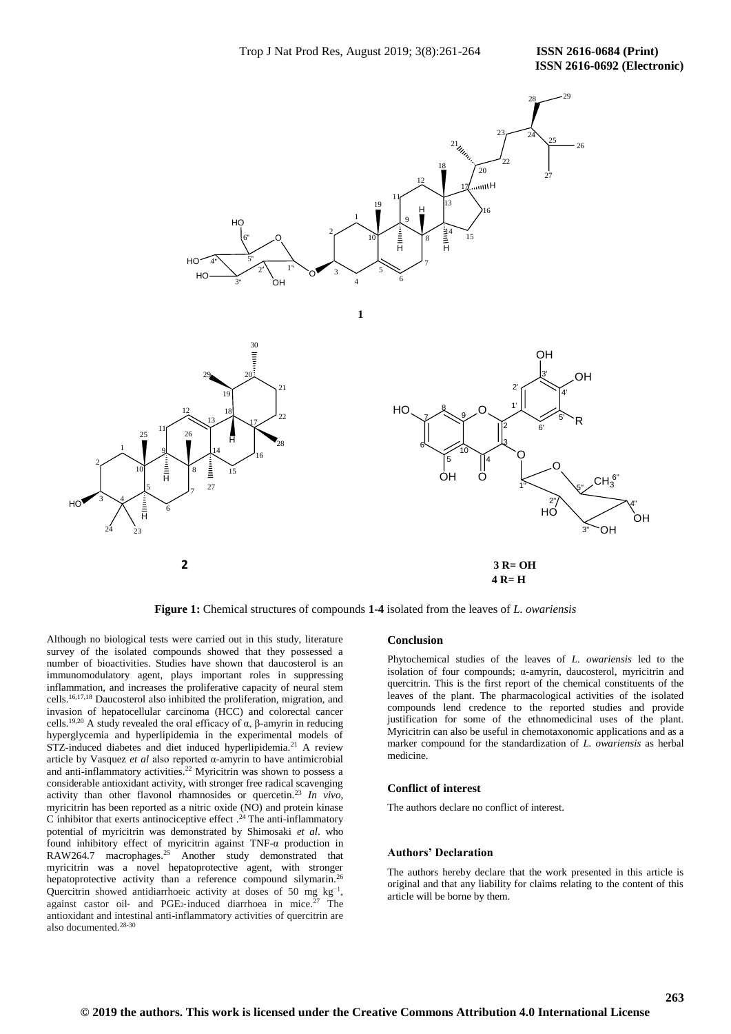

**Figure 1:** Chemical structures of compounds **1**-**4** isolated from the leaves of *L. owariensis*

Although no biological tests were carried out in this study, literature survey of the isolated compounds showed that they possessed a number of bioactivities. Studies have shown that daucosterol is an immunomodulatory agent, plays important roles in suppressing inflammation, and increases the proliferative capacity of neural stem cells.16,17,18 Daucosterol also inhibited the proliferation, migration, and invasion of hepatocellular carcinoma (HCC) and colorectal cancer cells.<sup>19,20</sup> A study revealed the oral efficacy of  $\alpha$ , β-amyrin in reducing hyperglycemia and hyperlipidemia in the experimental models of STZ-induced diabetes and diet induced hyperlipidemia.<sup>21</sup> A review article by Vasquez *et al* also reported α-amyrin to have antimicrobial and anti-inflammatory activities.<sup>22</sup> Myricitrin was shown to possess a considerable antioxidant activity, with stronger free radical scavenging activity than other flavonol rhamnosides or quercetin.<sup>23</sup> *In vivo*, myricitrin has been reported as a nitric oxide (NO) and protein kinase C inhibitor that exerts antinociceptive effect  $.24$  The anti-inflammatory potential of myricitrin was demonstrated by Shimosaki *et al*. who found inhibitory effect of myricitrin against TNF-α production in RAW264.7 macrophages.<sup>25</sup> Another study demonstrated that myricitrin was a novel hepatoprotective agent, with stronger hepatoprotective activity than a reference compound silymarin.<sup>26</sup> Quercitrin showed antidiarrhoeic activity at doses of 50 mg  $kg^{-1}$ , against castor oil- and PGE<sub>2</sub>-induced diarrhoea in mice.<sup>27</sup> The antioxidant and intestinal anti-inflammatory activities of quercitrin are also documented.28-30

#### **Conclusion**

Phytochemical studies of the leaves of *L. owariensis* led to the isolation of four compounds; α-amyrin, daucosterol, myricitrin and quercitrin. This is the first report of the chemical constituents of the leaves of the plant. The pharmacological activities of the isolated compounds lend credence to the reported studies and provide justification for some of the ethnomedicinal uses of the plant. Myricitrin can also be useful in chemotaxonomic applications and as a marker compound for the standardization of *L. owariensis* as herbal medicine.

## **Conflict of interest**

The authors declare no conflict of interest.

## **Authors' Declaration**

The authors hereby declare that the work presented in this article is original and that any liability for claims relating to the content of this article will be borne by them.